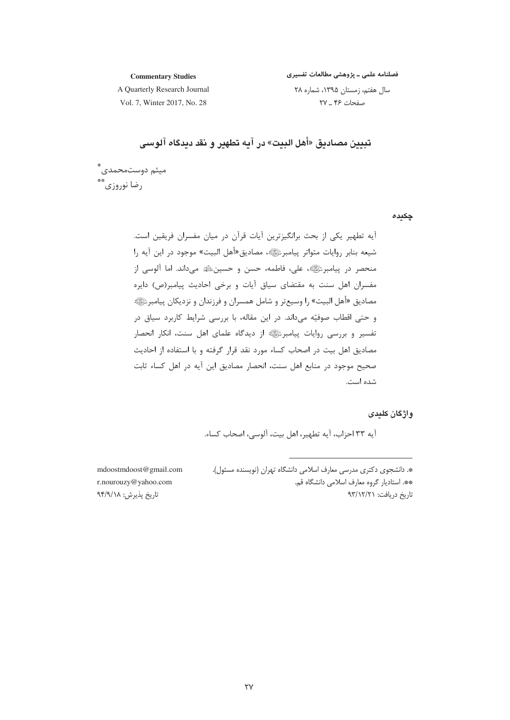فصلنامه علمی ـ پژوهشی مطالعات تفسیری

**Commentary Studies** A Quarterly Research Journal

سال هفتم، زمستان ۱۳۹۵، شماره ۲۸ صفحات ۴۶ ـ ۲۷

Vol. 7, Winter 2017, No. 28

تبيين مصاديق «أهل البيت» در آيه تطهير و نقد ديدگاه آلوسي

ميثم دوستمحمدي ٌ دضا نوږوزي\*\*

چکیدہ

أيه تطهير يكي از بحث برانگيزترين أيات قرآن در ميان مفسران فريقين است. شيعه بنابر روايات متواتر پيامبررﷺ، مصاديق «أهل البيت» موجود در اين آيه را منحصر در پیامبرئی ایستان ملی، فاطمه، حسن و حسینﷺ می داند. اما آلوسی از مفسران اهل سنت به مقتضای سیاق آیات و برخی احادیث پیامبر(ص) دایره مصاديق «أهل البيت» را وسيعتر و شامل همسران و فرزندان و نزديكان پيامبرﷺ و حتى اقطاب صوفيّه مىداند. در اين مقاله، با بررسى شرايط كاربرد سياق در تفسیر و بررسی روایات پیامبرﷺ از دیدگاه علمای اهل سنت، انکار انحصار مصاديق اهل بيت در اصحاب كساء مورد نقد قرار گرفته و با استفاده از احاديث صحيح موجود در منابع اهل سنت، انحصار مصاديق اين آيه در اهل كساء ثابت شده است.

### واژگان کلندی

آيه ٣٣ احزاب، آيه تطهير، اهل بيت، آلوسي، اصحاب كساء.

\*. دانشجوی دکتری مدرسی معارف اسلامی دانشگاه تهران (نویسنده مسئول). \*\*. استادیار گروه معارف اسلامی دانشگاه قم. تاریخ دریافت: ۹۳/۱۲/۲۱

mdoostmdoost@gmail.com r.nourouzy@yahoo.com تاريخ پذيرش: ٩٣/٩/١٨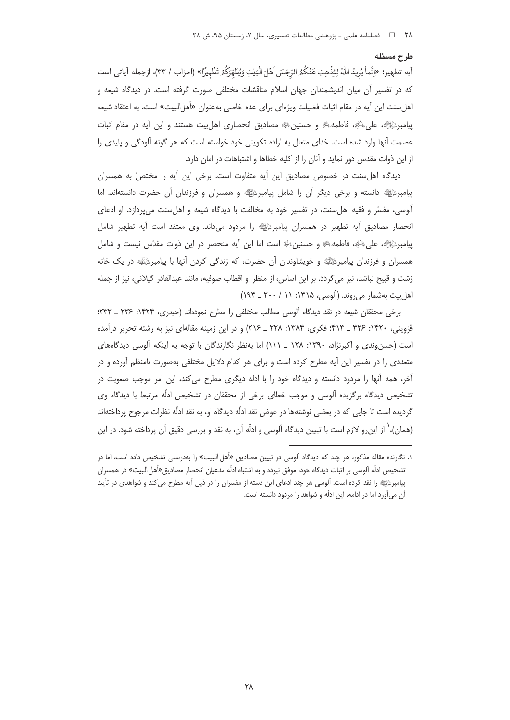آيه تطهير؛ «إنَّماٰ يُرِيدُ اللَّهُ لِيُذْهِبَ عَنْكُمُ الرِّجْسَ اَهْلَ الْبَيْتِ وَيُطَهِّرَكُمْ تَطْهيرًا» (احزاب / ٣٣)، ازجمله آياتي است که در تفسیر آن میان اندیشمندان جهان اسلام مناقشات مختلفی صورت گرفته است. در دیدگاه شیعه و اهلسنت اين آيه در مقام اثبات فضيلت ويژهاي براي عده خاصي بهعنوان «أهل|لبيت» است، به اعتقاد شيعه پیامبرﷺ، علیﷺ، فاطمه، ﷺ و حسنینﷺ مصادیق انحصاری اهل بیت هستند و این آیه در مقام اثبات عصمت آنها وارد شده است. خدای متعال به اراده تکوینی خود خواسته است که هر گونه آلودگی و پلیدی را از این ذوات مقدس دور نماید و آنان را از کلیه خطاها و اشتباهات در امان دارد.

دیدگاه اهلسنت در خصوص مصادیق این آیه متفاوت است. برخی این آیه را مختصّ به همسران پیامبرﷺ دانسته و برخی دیگر آن را شامل پیامبرﷺ و همسران و فرزندان آن حضرت دانستهاند. اما آلوسی، مفسّر و فقیه اهلسنت، در تفسیر خود به مخالفت با دیدگاه شیعه و اهلسنت میپردازد. او ادعای انحصار مصادیق آیه تطهیر در همسران پیامبرﷺ را مردود میداند. وی معتقد است آیه تطهیر شامل پیامبرﷺ، علیﷺ، فاطمهﷺ و حسنینﷺ است اما این آیه منحصر در این ذوات مقدّس نیست و شامل همسران و فرزندان پیامبرﷺ و خویشاوندان آن حضرت، که زندگی کردن آنها با پیامبرﷺ در یک خانه زشت و قبيح نباشد، نيز مي گردد. بر اين اساس، از منظر او اقطاب صوفيه، مانند عبدالقادر گيلاني، نيز از جمله اهل بيت بهشمار مي روند. (آلوسي، ١٣١۵: ١١ / ٢٠٠ \_ ١٩۴)

برخی محققان شیعه در نقد دیدگاه آلوسی مطالب مختلفی را مطرح نمودهاند (حیدری، ۱۴۲۴: ۲۳۶ ـ ۲۳۲: قزوینی، ۱۴۲۰: ۴۲۶ \_ ۴۱۳؛ فكرى، ۱۳۸۴: ۲۲۸ \_ ۲۱۶) و در این زمینه مقالهای نیز به رشته تحریر درآمده است (حسن وندی و اکبرنژاد، ۱۳۹۰: ۱۲۸ \_ ۱۱۱) اما بهنظر نگارندگان با توجه به اینکه آلوسی دیدگاههای متعددی را در تفسیر این آیه مطرح کرده است و برای هر کدام دلایل مختلفی بهصورت نامنظم آورده و در آخر، همه آنها را مردود دانسته و دیدگاه خود را با ادله دیگری مطرح می کند، این امر موجب صعوبت در تشخیص دیدگاه برگزیده آلوسی و موجب خطای برخی از محققان در تشخیص ادلّه مرتبط با دیدگاه وی گردیده است تا جایی که در بعضی نوشتهها در عوض نقد ادلّه دیدگاه او، به نقد ادلّه نظرات مرجوح پرداختهاند (همان)، ٰ از این٫رو لازم است با تبیین دیدگاه آلوسی و ادلّه آن، به نقد و بررسی دقیق آن پرداخته شود. در این

طرح مسئله

۱. نگارنده مقاله مذکور، هر چند که دیدگاه آلوسی در تبیین مصادیق «أهل البیت» را بهدرستی تشخیص داده است، اما در تشخيص ادلّه آلوسي بر اثبات ديدگاه خود، موفق نبوده و به اشتباه ادلّه مدعيان انحصار مصاديق «أهل البيت» در همسران پیامبرﷺ را نقد کرده است. آلوسی هر چند ادعای این دسته از مفسران را در ذیل آیه مطرح میکند و شواهدی در تأیید آن میآورد اما در ادامه، این ادلّه و شواهد را مردود دانسته است.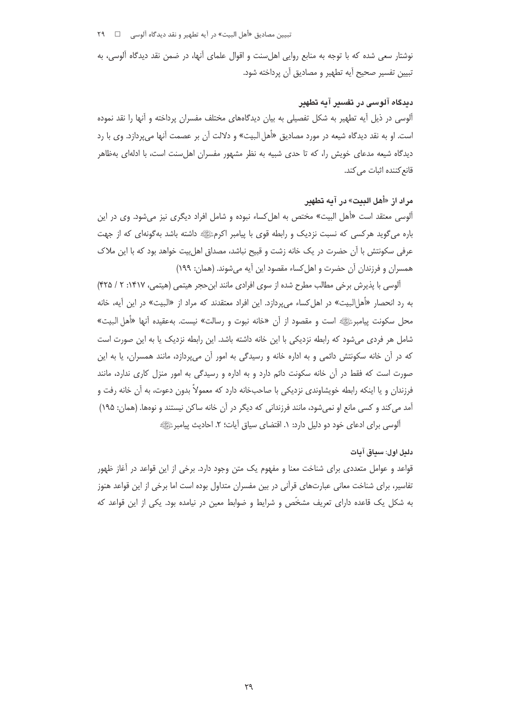تبيين مصاديق «أهل البيت» در آيه تطهير و نقد ديدگاه آلوسي □ ٢٩

نوشتار سعی شده که با توجه به منابع روایی اهلسنت و اقوال علمای آنها، در ضمن نقد دیدگاه آلوسی، به تبيين تفسير صحيح آيه تطهير و مصاديق آن پرداخته شود.

## دیدگاه آلوسی در تفسیر آیه تطهیر

آلوسی در ذیل آیه تطهیر به شکل تفصیلی به بیان دیدگاههای مختلف مفسران پرداخته و آنها را نقد نموده است. او به نقد دیدگاه شیعه در مورد مصادیق «أهل البیت» و دلالت آن بر عصمت آنها می پردازد. وی با رد دیدگاه شیعه مدعای خویش را، که تا حدی شبیه به نظر مشهور مفسران اهلسنت است، با ادلهای بهظاهر قانع کننده اثبات مے کند.

# مراد از «أهل البيت» در آيه تطهير

آلوسی معتقد است «أهل البیت» مختص به اهل کساء نبوده و شامل افراد دیگری نیز میشود. وی در این باره میگوید هرکسی که نسبت نزدیک و رابطه قوی با پیامبر اکرمﷺ داشته باشد بهگونهای که از جهت عرفی سکونتش با آن حضرت در یک خانه زشت و قبیح نباشد، مصداق اهل بیت خواهد بود که با این ملاک همسران و فرزندان آن حضرت و اهل کساء مقصود این آیه می شوند. (همان: ۱۹۹)

آلوسی با پذیرش برخی مطالب مطرح شده از سوی افرادی مانند ابن حجر هیتمی (هیتمی، ۱۴۱۷: ۲ / ۴۲۵) به رد انحصار «أهل|لبیت» در اهل کساء میپردازد. این افراد معتقدند که مراد از «البیت» در این آیه، خانه محل سكونت پيامبرئﷺ است و مقصود از أن «خانه نبوت و رسالت» نيست. بهعقيده آنها «أهل البيت» شامل هر فردی میشود که رابطه نزدیکی با این خانه داشته باشد. این رابطه نزدیک یا به این صورت است که در آن خانه سکونتش دائمی و به اداره خانه و رسیدگی به امور آن می پردازد، مانند همسران، یا به این صورت است که فقط در آن خانه سکونت دائم دارد و به اداره و رسیدگی به امور منزل کاری ندارد، مانند فرزندان و یا اینکه رابطه خویشاوندی نزدیکی با صاحبخانه دارد که معمولاً بدون دعوت، به آن خانه رفت و آمد می کند و کسی مانع او نمیشود، مانند فرزندانی که دیگر در آن خانه ساکن نیستند و نوهها. (همان: ۱۹۵) آلوسی برای ادعای خود دو دلیل دارد: ۱. اقتضای سیاق آیات؛ ۲. احادیث پیامبرﷺ

### دليل اول: سياق آيات

قواعد و عوامل متعددی برای شناخت معنا و مفهوم یک متن وجود دارد. برخی از این قواعد در آغاز ظهور تفاسیر، برای شناخت معانی عبارتهای قرآنی در بین مفسران متداول بوده است اما برخی از این قواعد هنوز به شکل یک قاعده دارای تعریف مشخّص و شرایط و ضوابط معین در نیامده بود. یکی از این قواعد که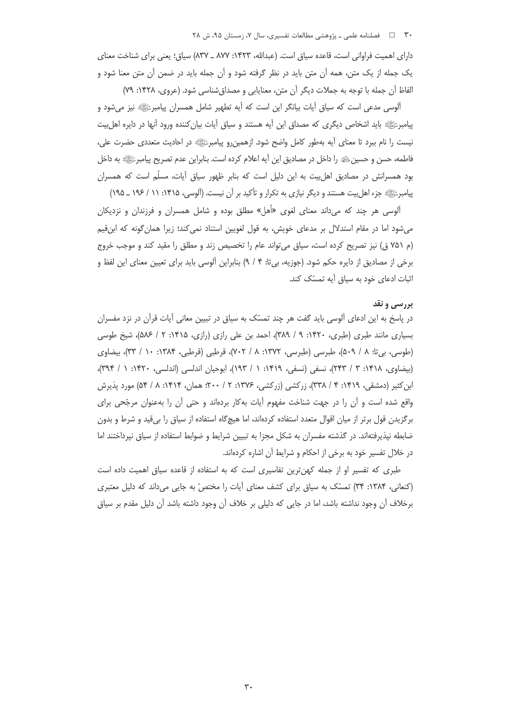دارای اهمیت فراوانی است، قاعده سیاق است. (عبدالله، ۱۴۲۳: ۸۷۷ ـ ۸۳۷) سیاق؛ یعنی برای شناخت معنای یک جمله از یک متن، همه آن متن باید در نظر گرفته شود و آن جمله باید در ضمن آن متن معنا شود و الفاظ آن جمله با توجه به جملات دیگر آن متن، معنایابی و مصداق شناسی شود. (عروی، ۱۴۲۸: ۷۹)

آلوسی مدعی است که سیاق آیات بیانگر این است که آیه تطهیر شامل همسران پیامبرﷺ نیز میشود و پیامبرﷺ باید اشخاص دیگری که مصداق این آیه هستند و سیاق آیات بیان کننده ورود آنها در دایره اهل بیت نیست را نام ببرد تا معنای آیه بهطور کامل واضح شود. ازهمین رو پیامبرﷺ در احادیث متعددی حضرت علی، فاطمه، حسن و حسینﷺ را داخل در مصادیق این آیه اعلام کرده است. بنابراین عدم تصریح پیامبرﷺ به داخل بود همسرانش در مصادیق اهل بیت به این دلیل است که بنابر ظهور سیاق آیات، مسلّم است که همسران پیامبرﷺ جزء اهل پیت هستند و دیگر نیازی به تکرار و تأکید بر آن نیست. (آلوسی، ۱۴۱۵: ۱۱ / ۱۹۶ ـ ۱۹۵)

آلوسی هر چند که میداند معنای لغوی «أهل» مطلق بوده و شامل همسران و فرزندان و نزدیکان میشود اما در مقام استدلال بر مدعای خویش، به قول لغویین استناد نمی کند؛ زیرا همان گونه که ابن قیم (م ٧٥١ ق) نيز تصريح كرده است، سياق مى تواند عام را تخصيص زند و مطلق را مقيد كند و موجب خروج برخی از مصادیق از دایره حکم شود. (جوزیه، بیتا: ۴ / ۹) بنابراین آلوسی باید برای تعیین معنای این لفظ و اثبات ادعای خود به سیاق آیه تمسّک کند.

#### بررسی و نقد

در پاسخ به این ادعای آلوسی باید گفت هر چند تمسّک به سیاق در تبیین معانی آیات قرآن در نزد مفسران بسیاری مانند طبری (طبری، ۱۴۲۰: ۹ / ۳۸۹)، احمد بن علی رازی (رازی، ۱۴۱۵: ۲ / ۵۸۶)، شیخ طوسی (طوسی، بی تا: ۸ / ۵۰۹)، طبرسی (طبرسی، ۱۳۷۲: ۸ / ۷۰۲)، قرطبی (قرطبی، ۱۳۸۴: ۱۰ / ۳۳)، بیضاوی (بيضاوى، ١٤١٨: ٣ / ٢٤٣)، نسفى (نسفى، ١٤١٩: ١ / ١٩٣)، ابوحيان اندلسى (اندلسى، ١٤٢٠: ١ / ٣٩۴)، ابن کثیر (دمشقی، ۱۴۱۹: ۴ / ۳۳۸)، زرکشی (زرکشی، ۱۳۷۶: ۲ / ۲۰۰ همان، ۱۴۱۴: ۸ / ۵۴) مورد پذیرش واقع شده است و آن را در جهت شناخت مفهوم آیات به کار بردهاند و حتی آن را بهعنوان مرجّحی برای برگزیدن قول برتر از میان اقوال متعدد استفاده کردهاند، اما هیچگاه استفاده از سیاق را بی قید و شرط و بدون ضابطه نیذیرفتهاند. در گذشته مفسران به شکل مجزا به تبیین شرایط و ضوابط استفاده از سیاق نیرداختند اما در خلال تفسیر خود به برخی از احکام و شرایط آن اشاره کردهاند.

طبری که تفسیر او از جمله کهنترین تفاسیری است که به استفاده از قاعده سیاق اهمیت داده است (کنعانی، ۱۳۸۴: ۳۴) تمسّک به سیاق برای کشف معنای آیات را مختصّ به جایی می داند که دلیل معتبری برخلاف آن وجود نداشته باشد، اما در جایی که دلیلی بر خلاف آن وجود داشته باشد آن دلیل مقدم بر سیاق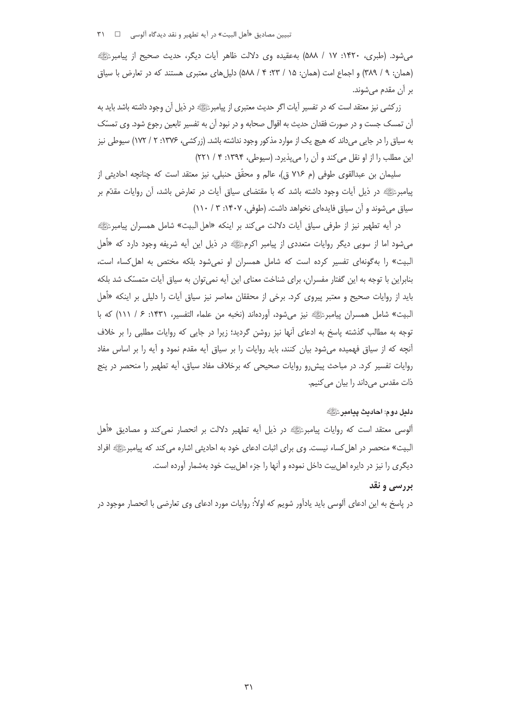تبيين مصاديق «أهل البيت» در آيه تطهير و نقد ديدگاه آلوسي □ ٣١

می شود. (طبری، ۱۴۲۰: ۱۷ / ۵۸۸) به عقیده وی دلالت ظاهر آیات دیگر، حدیث صحیح از پیامبرﷺ (همان: ٩ / ٣٨٩) و اجماع امت (همان: ١۵ / ٢٣؛ ۴ / ٥٨٨) دليل هاي معتبري هستند كه در تعارض با سياق بر اُن مقدم مے شوند.

زرکشی نیز معتقد است که در تفسیر آیات اگر حدیث معتبری از پیامبرﷺ در ذیل آن وجود داشته باشد باید به آن تمسک جست و در صورت فقدان حدیث به اقوال صحابه و در نبود آن به تفسیر تابعین رجوع شود. وی تمسّک به سیاق را در جایی می داند که هیچ یک از موارد مذکور وجود نداشته باشد. (زرکشی، ۱۳۷۶: ۲ / ۱۷۲) سیوطی نیز این مطلب را از او نقل می کند و آن را می پذیرد. (سپوطی، ۱۳۹۴: ۴ / ۲۲۱)

سلیمان بن عبدالقوی طوفی (م ۷۱۶ ق)، عالم و محقّق حنبلی، نیز معتقد است که چنانچه احادیثی از پیامبرﷺ در ذیل آیات وجود داشته باشد که با مقتضای سیاق آیات در تعارض باشد، آن روایات مقدّم بر سیاق می شوند و آن سیاق فایدهای نخواهد داشت. (طوفی، ۱۴۰۷: ۳ / ۱۱۰)

در أيه تطهير نيز از طرفي سياق أيات دلالت ميكند بر اينكه «اهل البيت» شامل همسران پيامبرﷺ میشود اما از سویی دیگر روایات متعددی از پیامبر اکرمﷺ در ذیل این اَیه شریفه وجود دارد که «اَهل البیت» را به گونهای تفسیر کرده است که شامل همسران او نمی شود بلکه مختص به اهل کساء است، بنابراین با توجه به این گفتار مفسران، برای شناخت معنای این آیه نمی توان به سیاق آیات متمسّک شد بلکه باید از روایات صحیح و معتبر پیروی کرد. برخی از محققان معاصر نیز سیاق آیات را دلیلی بر اینکه «أهل البيت» شامل همسران پيامبرﷺ نيز مي شود، آوردهاند (نخبه من علماء التفسير، ١۴٣١: ۶ / ١١١) كه با توجه به مطالب گذشته پاسخ به ادعای آنها نیز روشن گردید؛ زیرا در جایی که روایات مطلبی را بر خلاف آنچه که از سیاق فهمیده میشود بیان کنند، باید روایات را بر سیاق آیه مقدم نمود و آیه را بر اساس مفاد روایات تفسیر کرد. در مباحث پیش رو روایات صحیحی که برخلاف مفاد سیاق، آیه تطهیر را منحصر در پنج ذات مقدس میداند را بیان می کنیم.

#### دليل دوم: احاديث ييامبر ﷺ

ألوسي معتقد است كه روايات پيامبرﷺ در ذيل أيه تطهير دلالت بر انحصار نميكند و مصاديق «أهل البيت» منحصر در اهل كساء نيست. وي براي اثبات ادعاي خود به احاديثي اشاره مي كند كه پيامبرﷺ افراد دیگری را نیز در دایره اهل بیت داخل نموده و آنها را جزء اهل بیت خود بهشمار آورده است.

# بررسی و نقد

در پاسخ به این ادعای آلوسی باید یادآور شویم که اولاً: روایات مورد ادعای وی تعارضی با انحصار موجود در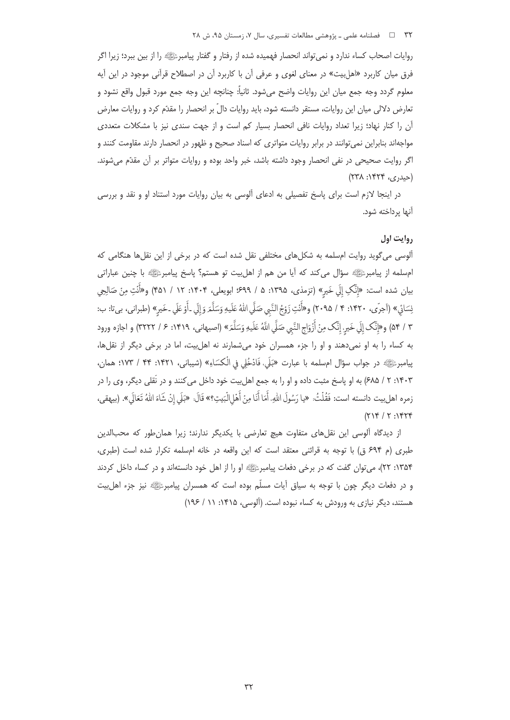روايات اصحاب كساء ندارد و نمي تواند انحصار فهميده شده از رفتار و گفتار پيامبرﷺ را از بين ببرد؛ زيرا اگر فرق میان کاربرد «اهل بیت» در معنای لغوی و عرفی آن با کاربرد آن در اصطلاح قرآنی موجود در این آیه معلوم گردد وجه جمع ميان اين روايات واضح مي شود. ثانياً: چنانچه اين وجه جمع مورد قبول واقع نشود و تعارض دلالی میان این روایات، مستقر دانسته شود، باید روایات دالّ بر انحصار را مقدّم کرد و روایات معارض آن را کنار نهاد؛ زیرا تعداد روایات نافی انحصار بسیار کم است و از جهت سندی نیز با مشکلات متعددی مواجهاند بنابراین نمی توانند در برابر روایات متواتری که اسناد صحیح و ظهور در انحصار دارند مقاومت کنند و اگر روایت صحیحی در نفی انحصار وجود داشته باشد، خبر واحد بوده و روایات متواتر بر آن مقدّم میشوند. (حیدری، ۱۴۲۴: ۲۳۸)

در اینجا لازم است برای پاسخ تفصیلی به ادعای آلوسی به بیان روایات مورد استناد او و نقد و بررسی آنها پرداخته شود.

### روايت اول

آلوسی میگوید روایت امسلمه به شکلهای مختلفی نقل شده است که در برخی از این نقلها هنگامی که امسلمه از پیامبرﷺ سؤال میکند که آیا من هم از اهلِبیت تو هستم؟ پاسخ پیامبرﷺ با چنین عباراتی بیان شده است: «إِنَّکِ إِلَي خَيرٍ» (تزمذی، ۱۳۹۵: ۵ / ۶۹۹؛ ابویعلی، ۱۴۰۴: ۱۲ / ۴۵۱) و«أَنْتِ مِنْ صَالِحِي نِسَائِ» (آجرّي، ١۴٢٠: ۴ / ٢٠٩۵) و«أَنْتِ زَوْجُ النَّبي صَلَّي اللهُ عَلَيهِ وَسَلَّمَ وَإِلَي ـأَوْ عَلَي ـخَيرٍ» (طبراني، بيتا: ب: ٣ / ٥۴) و«إِنَّك إِلَي خَيرِ، إِنَّك مِنْ أَزْوَاجِ النَّبِي صَلَّي اللَّهُ عَلَيهِ وَسَلَّمَ» (اصبهانى، ١۴١٩: ۶ / ٣٢٢٢) و اجازه ورود به کساء را به او نمیدهند و او را جزء همسران خود میشمارند نه اهل بیت، اما در برخی دیگر از نقلها، پیامبرﷺ در جواب سؤال امسلمه با عبارت «بَلَى، فَادْخُلِي في الْكسَاءِ» (شيباني، ١۴٢١: ۴۴ / ١٧٣؛ همان، ۱۴۰۳: ۲ / ۶۸۵) به او پاسخ مثبت داده و او را به جمع اهلبیت خود داخل می کنند و در نَقلی دیگر، وی را در زمره اهلبيت دانسته است: فَقُلْتُ: «يا رَسُولَ اللهِ، أَمَا أَنَا مِنْ أَهْلِالْبَيتِ؟» قَالَ: «بَلَى إنْ شَاءَ اللهُ تَعَالَى». (بيهقي،  $(714 / 7.1974$ 

از دیدگاه ألوسی این نقلهای متفاوت هیچ تعارضی با یکدیگر ندارند؛ زیرا همانطور که محبالدین طبری (م ۶۹۴ ق) با توجه به قرائنی معتقد است که این واقعه در خانه امسلمه تکرار شده است (طبری، ۱۳۵۴: ۲۲)، میتوان گفت که در برخی دفعات پیامبرﷺ او را از اهل خود دانستهاند و در کساء داخل کردند و در دفعات دیگر چون با توجه به سیاق آیات مسلّم بوده است که همسران پیامبرﷺ نیز جزء اهلبیت هستند، دیگر نیازی به ورودش به کساء نبوده است. (آلوسی، ۱۴۱۵: ۱۱ / ۱۹۶)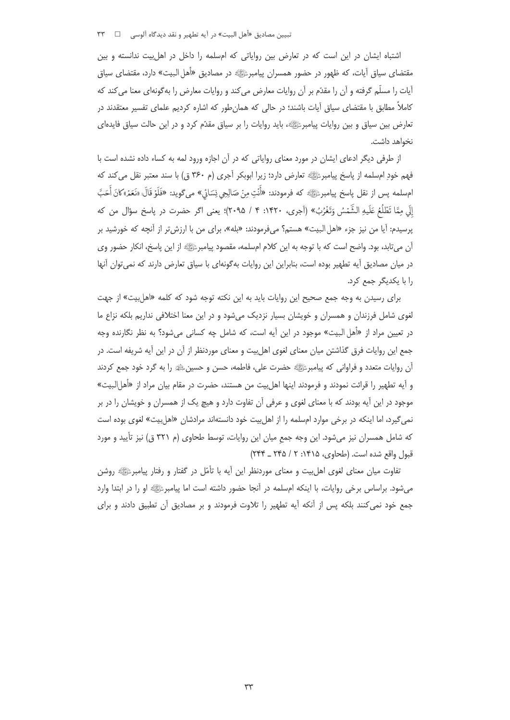اشتباه ایشان در این است که در تعارض بین روایاتی که امسلمه را داخل در اهل بیت ندانسته و بین مقتضای سیاق آیات، که ظهور در حضور همسران پیامبرﷺ در مصادیق «أهل البیت» دارد، مقتضای سیاق آیات را مسلّم گرفته و آن را مقدّم بر آن روایات معارض می کند و روایات معارض را به گونهای معنا می کند که کاملاً مطابق با مقتضای سیاق آیات باشند؛ در حالی که همانطور که اشاره کردیم علمای تفسیر معتقدند در تعارض بین سیاق و بین روایات پیامبرﷺ» باید روایات را بر سیاق مقدّم کرد و در این حالت سیاق فایدهای نخواهد داشت.

از طرفی دیگر ادعای ایشان در مورد معنای روایاتی که در آن اجازه ورود لمه به کساء داده نشده است با فهم خودِ امسلمه از پاسخ پیامبرﷺ تعارض دارد؛ زیرا ابوبکر آجری (م ۳۶۰ ق) با سند معتبر نقل می کند که امِسلمه يس از نقل ياسخ پيامبرﷺ كه فرمودند: «أُنْتِ مِنْ صَالِحِي نِسَائِي» مي گويد: «فَلَوْ قَالَ: «نَعَمْ»كانَ أُحَبَّ إِلَى مِمَّا تَطْلُعُ عَلَيهِ الشَّمْسُ وَتَغْرُبُ» (آجري، ١۴٢٠: ۴ / ٢٠٩۵)؛ يعني اگر حضرت در پاسخ سؤال من كه يرسيدم: آيا من نيز جزء «اهل البيت» هستم؟ مي فرمودند: «بله»، براي من با ارزش تر از آنچه كه خورشيد بر آن میتابد، بود. واضح است که با توجه به این کلام امسلمه، مقصود پیامبرﷺ از این پاسخ، انکار حضور وی در میان مصادیق آیه تطهیر بوده است، بنابراین این روایات بهگونهای با سیاق تعارض دارند که نمی توان آنها را با یکدیگر جمع کرد.

برای رسیدن به وجه جمع صحیح این روایات باید به این نکته توجه شود که کلمه «اهل بیت» از جهت لغوی شامل فرزندان و همسران و خویشان بسیار نزدیک می شود و در این معنا اختلافی نداریم بلکه نزاع ما در تعیین مراد از «أهل البیت» موجود در این آیه است، که شامل چه کسانی میشود؟ به نظر نگارنده وجه جمع این روایات فرق گذاشتن میان معنای لغوی اهلبیت و معنای موردنظر از آن در این آیه شریفه است. در أن روايات متعدد و فراواني كه پيامبرﷺ حضرت على، فاطمه، حسن و حسينﷺ را به گرد خود جمع كردند و آيه تطهير را قرائت نمودند و فرمودند اينها اهلِبيت من هستند، حضرت در مقام بيان مراد از «أهلِالبيت» موجود در این آیه بودند که با معنای لغوی و عرفی آن تفاوت دارد و هیچ یک از همسران و خویشان را در بر نمی گیرد، اما اینکه در برخی موارد امسلمه را از اهل بیت خود دانستهاند مرادشان «اهل بیت» لغوی بوده است که شامل همسران نیز میشود. این وجه جمع میان این روایات، توسط طحاوی (م ۳۲۱ ق) نیز تأیید و مورد قبول واقع شده است. (طحاوي، ۱۴۱۵: ۲ / ۲۴۵ ـ ۲۴۴)

تفاوت میان معنای لغوی اهل بیت و معنای موردنظر این أیه با تأمّل در گفتار و رفتار پیامبرﷺ روشن میشود. براساس برخی روایات، با اینکه امسلمه در آنجا حضور داشته است اما پیامبرﷺ او را در ابتدا وارد جمع خود نمی کنند بلکه پس از آنکه آیه تطهیر را تلاوت فرمودند و بر مصادیق آن تطبیق دادند و برای

 $\tau\tau$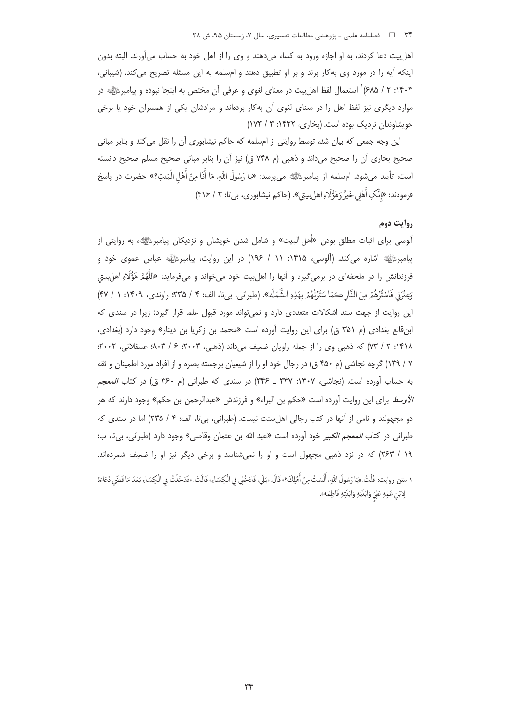اهل بیت دعا کردند، به او اجازه ورود به کساء میدهند و وی را از اهل خود به حساب میآورند. البته بدون اینکه آیه را در مورد وی بهکار برند و بر او تطبیق دهند و امسلمه به این مسئله تصریح میکند. (شیبانی، ۰۱۴۰۳: ۲ / ۶۸۵)<sup>٬</sup> استعمال لفظ اهل بیت در معنای لغوی و عرفی آن مختص به اینجا نبوده و پیامبرﷺ در موارد دیگری نیز لفظ اهل را در معنای لغوی آن بهکار بردهاند و مرادشان یکی از همسران خود یا برخی خویشاوندان نزدیک بوده است. (بخاری، ۱۴۲۲: ۳ / ۱۷۳)

این وجه جمعی که بیان شد، توسط روایتی از امسلمه که حاکم نیشابوری آن را نقل می کند و بنابر مبانی صحیح بخاری آن را صحیح میداند و ذهبی (م ۷۴۸ ق) نیز آن را بنابر مبانی صحیح مسلم صحیح دانسته است، تأييد مي¢مود. ام∞لمه از پيامبرﷺ ميپرسد: «يا رَسُولَ اللَّهِ، مَا أَنَا مِنْ أَهْلِ الْبَيتِ؟» حضرت در پاسخ فرمودند: «إِنَّكِ أَهْلِي خَيرُّ وَهَؤُلَاءِ اهلِييتِي». (حاكم نيشابوري، بيتا: ٢ / ٣١۶)

### روايت دوم

آلوسی برای اثبات مطلق بودن «أهل البیت» و شامل شدن خویشان و نزدیکان پیامبرﷺ، به روایتی از یپامبرﷺ اشاره می کند. (آلوسی، ۱۴۱۵: ۱۱ / ۱۹۶) در این روایت، پیامبرﷺ عباس عموی خود و فرزندانش را در ملحفهای در برمیگیرد و آنها را اهلبیت خود میخواند و میفرماید: «اللَّهُمَّ هَؤُلَاءِ اهلبیتی وَعِتْرَتِي فَاسْتُرْهُمْ مِنَ النَّارِ كِمَا سَتَرْتُهُمْ بِهَذِهِ الشَّمْلَهِ». (طبراني، بي تا، الف: ۴ / ۳۵٪؛ راوندي، ۱۴۰۹: ۱ / ۴۷) این روایت از جهت سند اشکالات متعددی دارد و نمی تواند مورد قبول علما قرار گیرد؛ زیرا در سندی که ابنقانع بغدادي (م ۳۵۱ ق) براي اين روايت آورده است «محمد بن زكريا بن دينار» وجود دارد (بغدادي، ۱۴۱۸: ۲ / ۷۳) که ذهبی وی را از جمله راویان ضعیف میداند (ذهبی، ۲۰۰۳: ۶ / ۸۰۳؛ عسقلانی، ۲۰۰۲: ۷ / ۱۳۹) گرچه نجاشی (م ۴۵۰ ق) در رجال خود او را از شیعیان برجسته بصره و از افراد مورد اطمینان و ثقه به حساب آورده است. (نجاشی، ۱۴۰۷: ۳۴۷ ـ ۳۴۶) در سندی که طبرانی (م ۳۶۰ ق) در کتاب *المعجم* /لأوسط براي اين روايت آورده است «حكم بن البراء» و فرزندش «عبدالرحمن بن حكم» وجود دارند كه هر دو مجهولند و نامی از آنها در کتب رجالی اهل سنت نیست. (طبرانی، بی تا، الف: ۴ / ۲۳۵) اما در سندی که طبراني در كتاب *المعجم الكبير* خود آورده است «عبد الله بن عثمان وقاصي» وجود دارد (طبراني، بي تا، ب: ١٩ / ٢۶٣) كه در نزد ذهبى مجهول است و او را نمى شناسد و برخى ديگر نيز او را ضعيف شمردهاند.

١ متن روايت: قُلْتُ: «يَا رَسُولَ اللَّهِ، أَلَسْتُ مِنْ أَهْلِكَ؟» قَالَ: «بَلِّي، فَادْخُلِي في الْكِسَاءِ» قَالَتْ: «فَدَخَلْتُ فِي الْكِسَاءِ بَعْدَ مَا قَضَي دُعَاءَهُ لِابْنِ عَمِّهِ عَلِيِّ وَابْنَيْهِ وَابْنَتِهِ فَاطِمَهِ».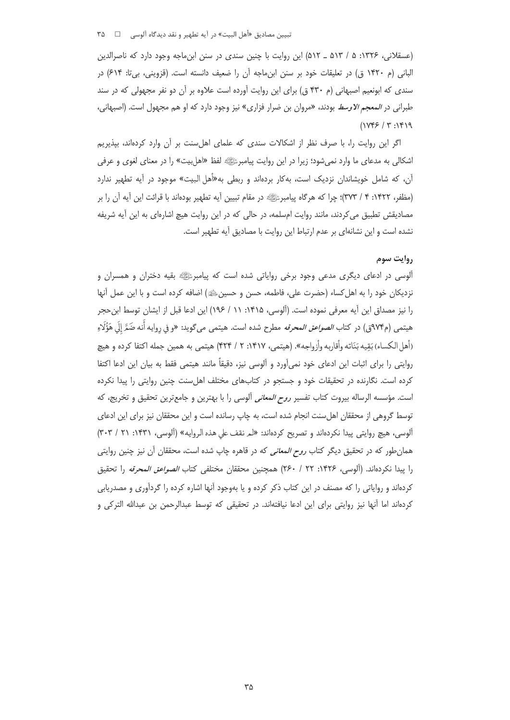(عسقلانی، ۱۳۲۶: ۵ / ۵۱۳ \_ ۵۱۲) این روایت با چنین سندی در سنن ابن ماجه وجود دارد که ناصرالدین البانی (م ۱۴۲۰ ق) در تعلیقات خود بر سنن ابنِ ماجه آن را ضعیف دانسته است. (قزوینی، بی تا: ۶۱۴) در سندی که ابونعیم اصبهانی (م ۴۳۰ ق) برای این روایت آورده است علاوه بر آن دو نفر مجهولی که در سند طبراني در *المعجم الاوسط* بودند، «مروان بن ضرار فزاري» نيز وجود دارد كه او هم مجهول است. (اصبهاني،  $(1YY5 / Y : YY)$ 

اگر این روایت را، با صرف نظر از اشکالات سندی که علمای اهلِسنت بر آن وارد کردهاند، بپذیریم اشکالی به مدعای ما وارد نمیشود؛ زیرا در این روایت پیامبرﷺ لفظ «اهلبیت» را در معنای لغوی و عرفی آن، که شامل خویشاندان نزدیک است، بهکار بردهاند و ربطی به«أهل البیت» موجود در آیه تطهیر ندارد (مظفر، ١۴٢٢: ۴ / ٣٧٣)؛ چرا كه هرگاه پيامبرﷺ در مقام تبيين آيه تطهير بودهاند با قرائت اين آيه آن را بر مصادیقش تطبیق می کردند، مانند روایت امسلمه، در حالی که در این روایت هیچ اشارهای به این آیه شریفه نشده است و این نشانهای بر عدم ارتباط این روایت با مصادیق آیه تطهیر است.

# ,وايت سوم

آلوسی در ادعای دیگری مدعی وجود برخی روایاتی شده است که پیامبرﷺ بقیه دختران و همسران و نزدیکان خود را به اهل کساء (حضرت علی، فاطمه، حسن و حسینﷺ) اضافه کرده است و با این عمل أنها را نيز مصداق اين آيه معرفي نموده است. (آلوسي، ١۴١۵: ١١ / ١٩۶) اين ادعا قبل از ايشان توسط ابن حجر هيتمي (م٩٧۴ق) در كتاب *الصواعق المحرقه* مطرح شده است. هيتمي مي5ويد: «و في روايه أنه ضَمَّ إلَى هَؤُلَاءِ (أهل الكساء) بَقِيه بَنَاته وأقاربه وأزواجه». (هيتمي، ١۴١٧: ٢ / ۴۲۴) هيتمي به همين جمله اكتفا كرده و هيچ روايتي را براي اثبات اين ادعاي خود نمي آورد و آلوسي نيز، دقيقاً مانند هيتمي فقط به بيان اين ادعا اكتفا کرده است. نگارنده در تحقیقات خود و جستجو در کتابهای مختلف اهلسنت چنین روایتی را پیدا نکرده است. مؤسسه الرساله بیروت کتاب تفسیر *روح المعانی* آلوسی را با بهترین و جامعترین تحقیق و تخریج، که توسط گروهی از محققان اهلِسنت انجام شده است، به چاپ رسانده است و این محققان نیز برای این ادعای ألوسي، هيچ روايتي پيدا نكردهاند و تصريح كردهاند: «لمر نقف على هذه الروايه» (ألوسي، ١۴٣١: ٢١ / ٣٠٣) همانطور که در تحقیق دیگر کتاب *روح المعانی* که در قاهره چاپ شده است، محققان آن نیز چنین روایتی را يبدأ نكردهاند. (ألوسى، ١۴٢۶: ٢٢ / ٢۶٠) همچنين محققان مختلفى كتاب *الصواعق المحرقه* را تحقيق کردهاند و روایاتی را که مصنف در این کتاب ذکر کرده و یا بهوجود آنها اشاره کرده را گردآوری و مصدریابی کردهاند اما أنها نیز روایتی برای این ادعا نیافتهاند. در تحقیقی که توسط عبدالرحمن بن عبدالله الترکی و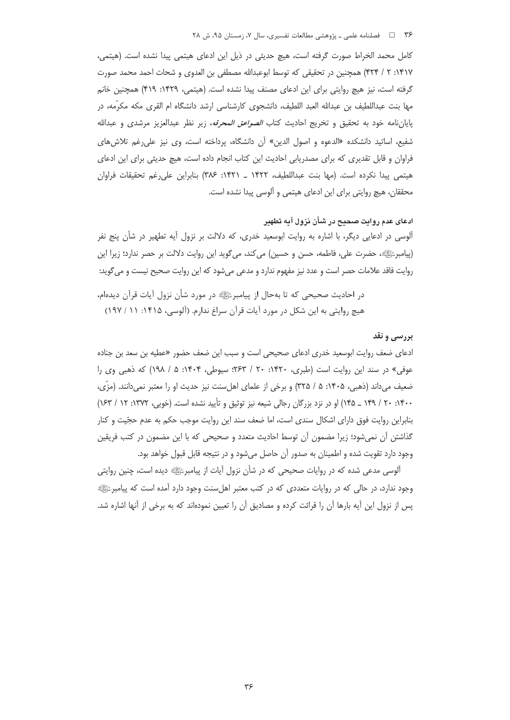كامل محمد الخراط صورت گرفته است، هيچ حديثي در ذيل اين ادعاى هيتمي پيدا نشده است. (هيتمي، ١۴١٧: ٢ / ۴٢۴) همچنين در تحقيقي كه توسط ابوعبدالله مصطفى بن العدوى و شحات احمد محمد صورت گرفته است، نیز هیچ روایتی برای این ادعای مصنف پیدا نشده است. (هیتمی، ۱۴۲۹: ۴۱۹) همچنین خانم مها بنت عبداللطيف بن عبدالله العبد اللطيف، دانشجوي كارشناسي ارشد دانشگاه ام القرى مكه مكرَّمه، در پایاننامه خود به تحقیق و تخریج احادیث کتاب *الصواعق المحرقه*، زیر نظر عبدالعزیز مرشدی و عبدالله شفيع، اساتيد دانشكده «الدعوه و اصول الدين» آن دانشگاه، پرداخته است، وي نيز على رغم تلاش هاي فراوان و قابل تقدیری که برای مصدریابی احادیث این کتاب انجام داده است، هیچ حدیثی برای این ادعای هيتمي ييدا نكرده است. (مها بنت عبداللطيف، ١۴٢٢ \_ ١٤٢١: ٣٨۶) بنابراين على رغم تحقيقات فراوان محققان، هیچ روایتی برای این ادعای هیتمی و آلوسی پیدا نشده است.

## ادعای عدم روایت صحیح در شأن نزول آیه تطهیر

ألوسی در ادعایی دیگر، با اشاره به روایت ابوسعید خدری، که دلالت بر نزول أیه تطهیر در شأن پنج نفر (پیامبرﷺ، حضرت علی، فاطمه، حسن و حسین) می کند، می6وید این روایت دلالت بر حصر ندارد؛ زیرا این روايت فاقد علامات حصر است و عدد نيز مفهوم ندارد و مدعي مي شود كه اين روايت صحيح نيست و مي گويد:

در احادیث صحیحی که تا بهحال از پیامبرﷺ در مورد شأن نزول آیات قرآن دیدهام، هیچ روایتی به این شکل در مورد آیات قرآن سراغ ندارم. (آلوسی، ۱۴۱۵: ۱۱ / ۱۹۷)

### بررسي و نقد

ادعای ضعف روایت ابوسعید خدری ادعای صحیحی است و سبب این ضعف حضور «عطیه بن سعد بن جناده عوفي» در سند اين روايت است (طبري، ١۴۲۰: ٢٠ / ٢۶٣؛ سيوطي، ١۴٠۴: ۵ / ١٩٨) كه ذهبي وي را ضعيف مي<اند (ذهبي، ١۴٠۵: ۵ / ٣٢۵) و برخي از علماي اهلِسنت نيز حديث او را معتبر نمي<انند. (مزَّى، ۱۴۰۰: ۲۰ / ۱۴۹ \_ ۱۴۵) او در نزد بزرگان رجالی شیعه نیز توثیق و تأیید نشده است. (خویی، ۱۳۷۲: ۱۲ / ۱۶۳) بنابراین روایت فوق دارای اشکال سندی است، اما ضعف سند این روایت موجب حکم به عدم حجّیت و کنار گذاشتن آن نمی شود؛ زیرا مضمون آن توسط احادیث متعدد و صحیحی که با این مضمون در کتب فریقین وجود دارد تقویت شده و اطمینان به صدور آن حاصل میشود و در نتیجه قابل قبول خواهد بود.

آلوسی مدعی شده که در روایات صحیحی که در شأن نزول آیات از پیامبرﷺ دیده است، چنین روایتی وجود ندارد، در حالی که در روایات متعددی که در کتب معتبر اهلسنت وجود دارد آمده است که پیامبرﷺ پس از نزول این آیه بارها آن را قرائت کرده و مصادیق آن را تعیین نمودهاند که به برخی از آنها اشاره شد.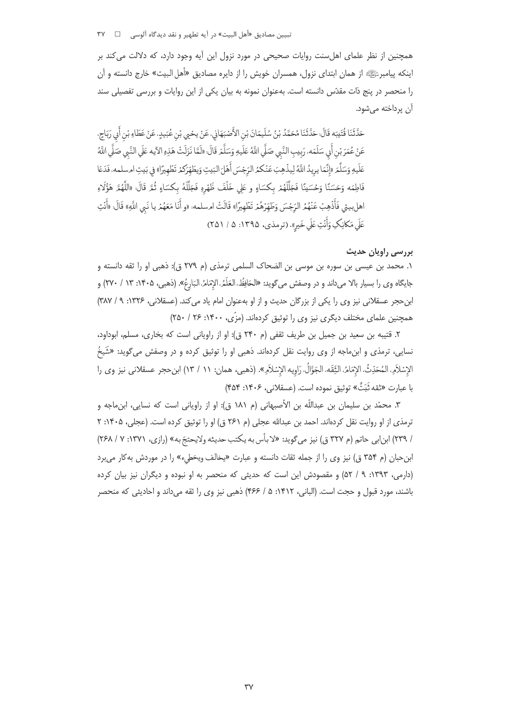همچنین از نظر علمای اهلسنت روایات صحیحی در مورد نزول این آیه وجود دارد، که دلالت میکند بر اینکه پیامبرﷺ از همان ابتدای نزول، همسران خویش را از دایره مصادیق «أهل البیت» خارج دانسته و آن را منحصر در پنج ذات مقدّس دانسته است. بهعنوان نمونه به بیان یکی از این روایات و بررسی تفصیلی سند آن پرداخته مے شود**.** 

حَدَّثَنَا قُتَيبَه قَالَ: حَدَّثَنَا مُحَمَّدُ بْنُ سُلَيمَانَ بْنِ الأَصْبَهَانِي، عَنْ يحْيي بْنِ عُبَيدٍ، عَنْ عَطَاءِ بْنِ أَبِي رَبَاحٍ، عَنْ عُمَرَ بْنِ أَبِي سَلَمَه، رَبِيبِ النَّبِي صَلَّي اللَّهُ عَلَيهِ وَسَلَّمَ قَالَ: «لَمَّا نَزَلَتْ هَذِهِ الآيه عَلَي النَّبِي صَلَّي اللَّهُ عَلَيهِ وَسَلَّمَ «إِنَّمَا يريدُ اللَّهُ لِيذْهِبَ عَنْكمُ الرّجْسَ أَهْلَ البَيتِ وَيطَهِّرَكمْ تَطْهِيرًا» في بَيتِ امسلمه، فَدَعَا فَاطِمَه وَحَسَنًا وَحُسَينًا فَجَلَّلَهُمْ بِكْسَاءٍ و عَلى خَلْفَ ظَهْرِهِ فَجَلَّلَهُ بِكْسَاءٍ ثُمَّ قَالَ: «اللَّهُمَّ هَؤُلَاءِ اهلبيتي فَأَذْهِبْ عَنْهُمُ الرِّجْسَ وَطَهِّرُهُمْ تَطْهِيرًا» قَالَتْ امسلمه: «و أَنَا مَعَهُمْ يا نَبي اللَّهِ» قَالَ: «أَنْتِ عَلَى مَكانِكِ وَأَنْتِ عَلَى خَيرِ». (ترمذي، ١٣٩۵: ۵ / ٢۵١)

# بررسی راویان حدیث

١. محمد بن عيسى بن سوره بن موسى بن الضحاك السلمى ترمذى (م ٢٧٩ ق): ذهبى او را ثقه دانسته و جايگاه وي را بسيار بالا مي<اند و در وصفش ميگويد: «الحَافِظُ، العَلَمُ، الإِمَامُ، البَارعُ». (ذهبي، ١۴٠۵: ١٣ / ٢٧٠) و ابن حجر عسقلانی نیز وی را یکی از بزرگان حدیث و از او بهعنوان امام یاد می کند. (عسقلانی، ۱۳۲۶: ۹/ ۳۸۷) همچنین علمای مختلف دیگری نیز وی را توثیق کردهاند. (مزّی، ۱۴۰۰: ۲۶/ ۲۵۰)

٢. قتيبه بن سعيد بن جميل بن طريف ثقفي (م ٢۴٠ ق): او از راوياني است كه بخارى، مسلم، ابوداود، نسایی، ترمذی و ابنِماجه از وی روایت نقل کردهاند. ذهبی او را توثیق کرده و در وصفش میگوید: «شَیخُ الإِسْلاَمِ المُحَدِّثُ، الإِمَامُ، الثِّقَه، الجَوَّالُ، رَاوِيه الإِسْلاَمِ». (ذهبي، همان: ١١ / ١٣) ابن حجر عسقلاني نيز وي را با عبارت «ثقه ثَبَتٌّ» توثيق نموده است. (عسقلاني، ۱۴۰۶: ۴۵۴)

٣. محمّد بن سليمان بن عبداللّه بن الأصبهاني (م ١٨١ ق): او از راوياني است كه نسايي، ابنِماجه و ترمذي از او روايت نقل كردهاند. احمد بن عبدالله عجلي (م ٢۶١ ق) او را توثيق كرده است. (عجلي، ١۴٠۵: ٢ / ٢٣٩) ابن ابي حاتم (م ٣٢٧ ق) نيز مي گويد: «لا بأس به يكتب حديثه ولايحتجّ به» (رازي، ١٣٧١: ٧ / ٢۶٨) ابن حبان (م ۳۵۴ ق) نیز وی را از جمله ثقات دانسته و عبارت «یخالف ویخطیء» را در موردش به کار می برد (دارمی، ۱۳۹۳: ۹ / ۵۲) و مقصودش این است که حدیثی که منحصر به او نبوده و دیگران نیز بیان کرده باشند، مورد قبول و حجت است. (الباني، ۱۴۱۲: ۵ / ۴۶۶) ذهبي نيز وي را ثقه مي داند و احاديثي كه منحصر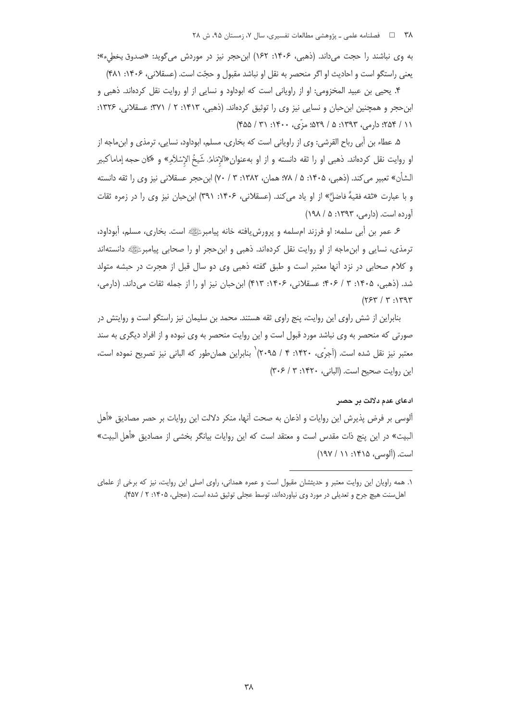به وي نباشند را حجت مي داند. (ذهبي، ۱۴۰۶: ۱۶۲) ابن حجر نيز در موردش مي گويد: «صدوق يخطيء»؛ يعني راستگو است و احاديث او اگر منحصر به نقل او نباشد مقبول و حجّت است. (عسقلاني، ۱۴۰۶: ۴۸۱)

۴. يحيى بن عبيد المخزومي: او از راوياني است كه ابوداود و نسايي از او روايت نقل كردهاند. ذهبي و ابن حجر و همچنین ابن حبان و نسایی نیز وی را توثیق کردهاند. (ذهبی، ۱۴۱۳: ۲ / ۳۷۱: عسقلانی، ۱۳۲۶: ١١ / ٢۵۴؛ دارم,، ١٣٩٣: ۵ / ٤٢٩؛ مزّى، ١٤٠٠: ٣١ / ٤٥۵)

۵. عطاء بن أبي رباح القرشي: وي از راوياني است كه بخاري، مسلم، ابوداود، نسايي، ترمذي و ابنِ اجه از او روايت نقل كردهاند. ذهبي او را ثقه دانسته و از او بهعنوان«الإمَامُ، شَيخُ الإِسْلاَمِ» و «كان حجه إماماكبير الشأن» تعبير مي كند. (ذهبي، ١۴٠۵: ۵ / ٧٨؛ همان، ١٣٨٢: ٣ / ٧٠) ابن حجر عسقلاني نيز وي را ثقه دانسته و با عبارت «ثقه فقيهٌ فاضلٌّ» از او ياد مي كند. (عسقلاني، ۱۴۰۶: ۳۹۱) ابن حبان نيز وي را در زمره ثقات آورده است. (دارمی، ۱۳۹۳: ۵ / ۱۹۸)

۶. عمر بن أبي سلمه: او فرزند امسلمه و پرورش یافته خانه پیامبرﷺ است. بخاری، مسلم، أبوداود، ترمذي، نسايي و ابنِ ماجه از او روايت نقل كردهاند. ذهبي و ابنِ حجر او را صحابي پيامبرﷺ دانستهاند و کلام صحابی در نزد آنها معتبر است و طبق گفته ذهبی وی دو سال قبل از هجرت در حبشه متولد شد. (ذهبی، ۱۴۰۵: ۳ / ۴۰۶: عسقلانی، ۱۴۰۶: ۴۱۳) ابن حبان نیز او را از جمله ثقات میداند. (دارمی،  $(754/7.17)$ 

بنابراین از شش راوی این روایت، پنج راوی ثقه هستند. محمد بن سلیمان نیز راستگو است و روایتش در صورتی که منحصر به وی نباشد مورد قبول است و این روایت منحصر به وی نبوده و از افراد دیگری به سند معتبر نیز نقل شده است. (آجرّی، ۱۴۲۰: ۴ / ۲۰۹۵)` بنابراین همانطور که البانی نیز تصریح نموده است، این روایت صحیح است. (البانی، ۱۴۲۰: ۳۰۶/ ۳۰۶)

#### ادعای عدم دلالت پر حصر

آلوسی بر فرض پذیرش این روایات و اذعان به صحت آنها، منکر دلالت این روایات بر حصر مصادیق «أهل البيت» در اين پنج ذات مقدس است و معتقد است كه اين روايات بيانگر بخشي از مصاديق «أهل البيت» است. (آلوسی، ۱۴۱۵: ۱۱ / ۱۹۷)

١. همه راويان اين روايت معتبر و حديثشان مقبول است و عمره همداني، راوى اصلى اين روايت، نيز كه برخي از علماى اهل سنت هیچ جرح و تعدیلی در مورد وی نیاوردهاند، توسط عجلی توثیق شده است. (عجلی، ۱۴۰۵: ۲ / ۴۵۷).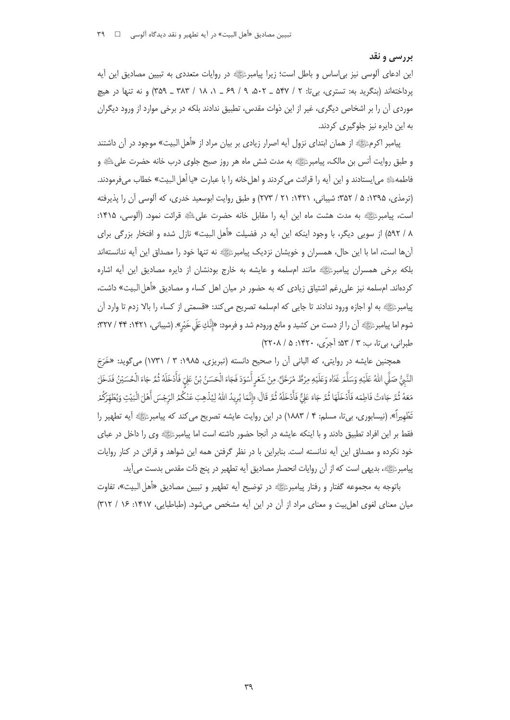### بررسي و نقد

این ادعای آلوسی نیز بی|ساس و باطل است؛ زیرا پیامبرﷺ در روایات متعددی به تبیین مصادیق این آیه پرداختهاند (بنگرید به: تستری، بیiت: ۲ / ۵۴۷ ـ ۵۰۲، ۹ / ۶۹ ـ ۱، ۱۸ / ۳۸۳ ـ ۳۵۹) و نه تنها در هیچ موردی آن را بر اشخاص دیگری، غیر از این ذوات مقدس، تطبیق ندادند بلکه در برخی موارد از ورود دیگران به این دایره نیز جلوگیر*ی* کردند.

پیامبر اکرمﷺ از همان ابتدای نزول آیه اصرار زیادی بر بیان مراد از «أهل البیت» موجود در آن داشتند و طبق روایت أنس بن مالک، پیامبرﷺ به مدت شش ماه هر روز صبح جلوی درب خانه حضرت علیﷺ و فاطمهﷺ می|یستادند و این آیه را قرائت میکردند و اهلخانه را با عبارت «یا أهل البیت» خطاب میفرمودند. (ترمذي، ١٣٩۵: ۵ / ٣۵٢: شيباني، ١۴٢١: ٢١ / ٢٧٣) و طبق روايت ابوسعيد خدري، كه آلوسي آن را يذيرفته است، پیامبرﷺ به مدت هشت ماه این آیه را مقابل خانه حضرت علیﷺ قرائت نمود. (آلوسی، ۱۴۱۵: ۸ / ۵۹۲) از سویی دیگر، با وجود اینکه این آیه در فضیلت «أهل البیت» نازل شده و افتخار بزرگی برای آنها است، اما با این حال، همسران و خویشان نزدیک پیامبرﷺ نه تنها خود را مصداق این آیه ندانستهاند بلکه برخی همسران پیامبرﷺ مانند امسلمه و عایشه به خارج بودنشان از دایره مصادیق این آیه اشاره کردهاند. امسلمه نیز علی رغم اشتیاق زیادی که به حضور در میان اهل کساء و مصادیق «أهل البیت» داشت، .<br>پیامبرﷺ به او اجازه ورود ندادند تا جایی که امسلمه تصریح می کند: «قسمتی از کساء را بالا زدم تا وارد آن شوم اما پیامبرﷺ أن را از دست من كشيد و مانع ورودم شد و فرمود: «إِنَّكِ عَلَى خَيْر». (شيباني، ١۴٢١: ٣۴ / ٣٢٧؛ طبراني، بي تا، ب: ٣ / ۵۳؛ آجرّي، ١۴٢٠: ۵ / ٢٢٠٨)

همچنین عایشه در روایتی، که البانی آن را صحیح دانسته (تبریزی، ۱۹۸۵: ۳ / ۱۷۳۱) میگوید: «خَرَجَ النَّبُّ صَلَّى اللهُ عَلَيْهِ وَسَلَّمَ غَدَاه وَعَلَيْهِ مِرْطٌ مُرَحَّلٌ، مِنْ شَعْرِ أَسْوَدَ فَجَاءَ الْحَسَنُ بْنُ عَلِيّ فَأَدْخَلَهُ ثُمَّ جَاءَ الْحُسَيْنُ فَدَخَلَ مَعَهُ ثُمَّ جَاءَتْ فَاطِمَه فَأَدْخَلَهَا ثُمَّ جَاءَ عَلِيٌّ فَأَدْخَلَهُ ثُمَّ قَالَ: «إِنَّمَا يُرِيدُ اللهُ لِيُذْهِبَ عَنْكُمُ الرِّجْسَ أَهْلَ الْبَيْتِ وَيُطَهّرَكُمْ .<br>تَطْهِيراً». (نيسابوري، بي¤ا، مسلم: ۴ / ١٨٨٣) در اين روايت عايشه تصريح مي كند كه پيامبرﷺ آيه تطهير را فقط بر این افراد تطبیق دادند و با اینکه عایشه در آنجا حضور داشته است اما پیامبرﷺ وی را داخل در عبای خود نکرده و مصداق این آیه ندانسته است. بنابراین با در نظر گرفتن همه این شواهد و قرائن در کنار روایات پیامبرﷺ، بدیهی است که از آن روایات انحصار مصادیق آیه تطهیر در پنج ذات مقدس بدست میآید.

باتوجه به مجموعه گفتار و رفتار پیامبرﷺ در توضیح آیه تطهیر و تبیین مصادیق «أهل البیت»، تفاوت میان معنای لغوی اهل بیت و معنای مراد از آن در این آیه مشخص می شود. (طباطبایی، ۱۴۱۷: ۱۶ / ۳۱۲)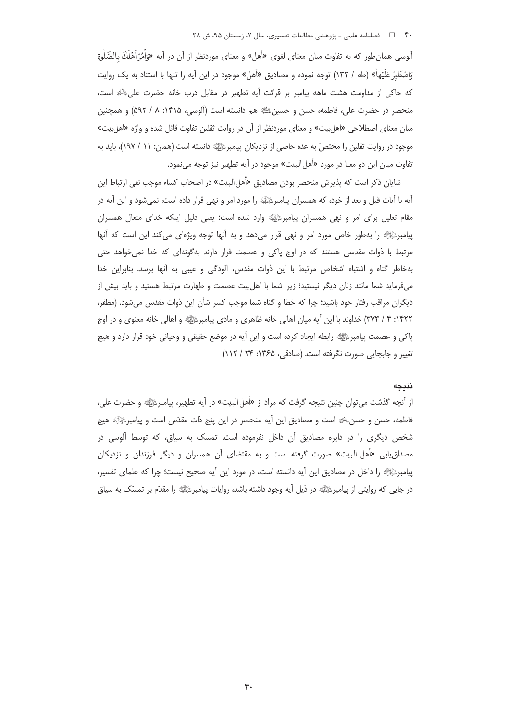آلوسی همان طور که به تفاوت میان معنای لغوی «أهل» و معنای موردنظر از آن در آیه «وَاْمُرْ اَهْلَكَ بِالصَّلٰوةِ وَاصْطَبْرْ عَلَيْهاْ» (طه / ١٣٢) توجه نموده و مصاديق «أهل» موجود در اين أيه را تنها با استناد به يک روايت كه حاكي از مداومت هشت ماهه پيامبر بر قرائت آيه تطهير در مقابل درب خانه حضرت على اللهِ است، منحصر در حضرت علي، فاطمه، حسن و حسينﷺ هم دانسته است (آلوسي، ١۴١۵: ٨ / ٥٩٢) و همچنين میان معنای اصطلاحی «اهل بیت» و معنای موردنظر از آن در روایت ثقلین تفاوت قائل شده و واژه «اهل بیت» موجود در روایت ثقلین را مختص ّ به عده خاصی از نزدیکان پیامبرﷺ دانسته است (همان: ۱۱ / ۱۹۷)، باید به تفاوت ميان اين دو معنا در مورد «أهل البيت» موجود در آيه تطهير نيز توجه ميiمود.

شایان ذکر است که پذیرش منحصر بودن مصادیق «أهل البیت» در اصحاب کساء موجب نفی ارتباط این آيه با آيات قبل و بعد از خود، كه همسران پيامبرﷺ را مورد امر و نهي قرار داده است، نمي شود و اين آيه در مقام تعلیل برای امر و نهی همسران پیامبرﷺ وارد شده است؛ یعنی دلیل اینکه خدای متعال همسران پیامبرﷺ را بهطور خاص مورد امر و نهی قرار میدهد و به آنها توجه ویژهای می کند این است که آنها مرتبط با ذوات مقدسی هستند که در اوج پاکی و عصمت قرار دارند بهگونهای که خدا نمی خواهد حتی بهخاطر گناه و اشتباه اشخاص مرتبط با این ذوات مقدس، آلودگی و عیبی به آنها برسد. بنابراین خدا می فرماید شما مانند زنان دیگر نیستید؛ زیرا شما با اهل بیت عصمت و طهارت مرتبط هستید و باید بیش از ديگران مراقب رفتار خود باشيد؛ چرا كه خطا و گناه شما موجب كسر شأن اين ذوات مقدس مىشود. (مظفر، ۱۴۲۲: ۴ / ۳۷۳) خداوند با این اًیه میان اهالی خانه ظاهری و مادی پیامبرﷺ و اهالی خانه معنوی و در اوج پاکی و عصمت پیامبرﷺ رابطه ایجاد کرده است و این آیه در موضع حقیقی و وحیانی خود قرار دارد و هیچ تغییر و جابجایی صورت نگرفته است. (صادقی، ۱۳۶۵: ۲۴ / ۱۱۲)

#### نتىجە

از آنچه گذشت می توان چنین نتیجه گرفت که مراد از «أهل البیت» در آیه تطهیر، پیامبرﷺ و حضرت علی، فاطمه، حسن و حسنﷺ است و مصادیق این آیه منحصر در این پنج ذات مقدّس است و پیامبرﷺ هیچ شخص دیگری را در دایره مصادیق آن داخل نفرموده است. تمسک به سیاق، که توسط آلوسی در مصداق یابی «اُهل البیت» صورت گرفته است و به مقتضای آن همسران و دیگر فرزندان و نزدیکان ييامبرﷺ را داخل در مصاديق اين آيه دانسته است، در مورد اين آيه صحيح نيست؛ چرا كه علماي تفسير، در جایی که روایتی از پیامبرﷺ در ذیل آیه وجود داشته باشد، روایات پیامبرﷺ را مقدّم بر تمسّک به سیاق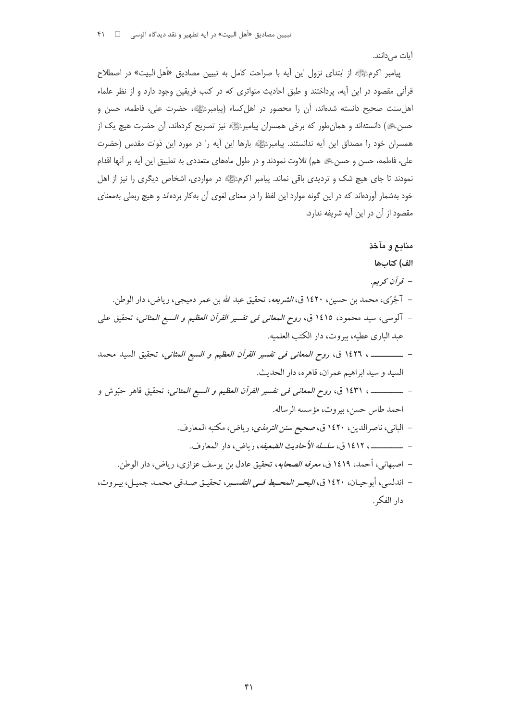أيات مىدانند.

-دار الفكر.

پیامبر اکرمﷺ از ابتدای نزول این أیه با صراحت کامل به تبیین مصادیق «اْهل البیت» در اصطلاح قرآنی مقصود در این آیه، پرداختند و طبق احادیث متواتری که در کتب فریقین وجود دارد و از نظر علماء اهلسنت صحیح دانسته شدهاند، آن را محصور در اهلکساء (پیامبرﷺ، حضرت علی، فاطمه، حسن و حسنﷺ) دانستهاند و همانطور که برخی همسران پیامبرﷺ نیز تصریح کردهاند، آن حضرت هیچ یک از همسران خود را مصداق این آیه ندانستند. پیامبرئی ایه بارها این آیه را در مورد این ذوات مقدس (حضرت علی، فاطمه، حسن و حسنﷺ هم) تلاوت نمودند و در طول ماههای متعددی به تطبیق این آیه بر آنها اقدام نمودند تا جای هیچ شک و تردیدی باقی نماند. پیامبر اکرمﷺ در مواردی، اشخاص دیگری را نیز از اهل خود بهشمار آوردهاند که در این گونه موارد این لفظ را در معنای لغوی آن بهکار بردهاند و هیچ ربطی بهمعنای مقصود از آن در این آیه شریفه ندارد.

**dMe \) ` O(^\_&** - **-** --)C2"#-#oG-%
 -)(-W#- -**) K**- - -)
><-)(- nB -@ **fU&2!M)-!&8 )62C**- -- 2--2" --:
@;"#-/01"#-#-, 
(-:
Z "#- ->"# **f U& 2 !M) - !&8 ) 62C**- ---AAAAAAAAAAAAAA pG"# #- \$-6# -\$# (#--->"# q2<- \$ **fU&2!M)-!&8 )62C**- ---AAAAAAAAAAAAAA --:" "# :>7-, 
(-)><-\C-<# c;"# :01oG-**1\_\*.:%g!"#**- - -)G"# \*4-4"# -c;"#-#oG-**!)Lc \R +&+**- ----AAAAAAAAAAAAAA --)C2"# #oG-E#e-H2G-)(-S -**?"W
)\***- ---<=-4'\*# -, -A
(-X-A
-B-A -A\* -A
-**!h&.h
e!h"h"**- - -6-A
<2(=->"4# -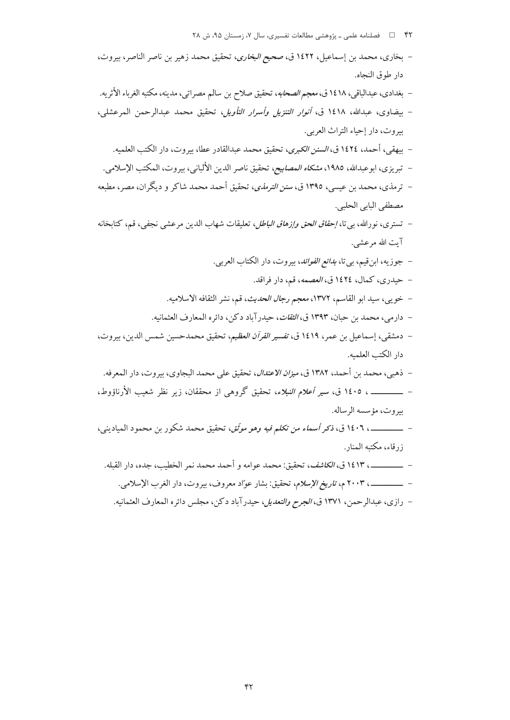- ۴۲ هـ المسلم علمي ـ پژوهشي مطالعات تفسيري، سال ۰۷ زمستان ۹۵، ش ۲۸
- بخاري، محمد بن إسماعيل، ١٤٢٢ ق، صحي*ح البخاري*، تحقيق محمد زهير بن ناصر الناصر، بيروت، دار طوق النجاه.
- بغدادي، عبدالباقي، ١٤١٨ ق، مع*جم الصحابه*، تحقيق صلاح بن سالم مصراتي، مدينه، مكتبه الغرباء الأثريه.
- بيضاوى، عبدالله، ١٤١٨ ق، *أنوار التنزيل وأسرار التأويل*، تحقيق محمد عبدالرحمن المرعشلي، بيروت، دار إحياء التراث العربي.
	- بيهقي، أحمد، ١٤٢٤ ق، *السنن الكبرى*، تحقيق محمد عبدالقادر عطا، بيروت، دار الكتب العلميه.
- تبريزي، ابوعبدالله، ١٩٨٥، م*شكاه المصابيح*، تحقيق ناصر الدين الألباني، بيروت، المكتب الإسلامي.
- ترمذي، محمد بن عيسى، ١٣٩٥ ق، *سنن الترمذي*، تحقيق أحمد محمد شاكر و ديگران، مصر، مطبعه مصطفى اليابي الحلبي.
- تسترى، نورالله، بي تا، *إحقاق الحق وإزهاق الباطل*، تعليقات شهاب الدين مرعشي نجفي، قم، كتابخانه آيت الله مرعشي.
	- جوزيه، ابن قيم، بي تا، *بدائع الفوائد*، بيروت، دار الكتاب العربي.
		- حيدري، كمال، ١٤٢٤ ق، *العصمه*، قم، دار فراقد.
	- خويبي، سيد ابو القاسم، ١٣٧٢، معجم *رجال الحديث*، قم، نشر الثقافه الاسلاميه.
	- دارمي، محمد بن حبان، ١٣٩٣ ق، *الثقات*، حيدرآباد دكن، دائره المعارف العثمانيه.
- دمشقي، إسماعيل بن عمر، ١٤١٩ ق، تفسير *القرآن العظيم*، تحقيق محمدحسين شمس الدين، بيروت، دار الكتب العلميه.
- 
- ـــــــــــــــ ، ١٤٠٥ ق، *سير أعلام النبلاء*، تحقيق گروهي از محققان، زير نظر شعيب الأرناؤوط، بيروت، مؤسسه الرساله.
- \_\_\_\_\_\_\_\_\_ ، ١٤٠٦ ق، ذكر أسم*اء من تكلم فيه وهو موثّق،* تحقيق محمد شكور بن محمود المباديني، زرقاء، مكتبه المنار.
	- \_\_\_\_\_\_\_\_ ، ١٤١٣ ق، *الكاشف*، تحقيق: محمد عوامه و أحمد محمد نمر الخطب، جده، دار القيله.
		- \_\_\_\_\_\_\_\_\_\_ ، ٢٠٠٣ م، ت*اريخ الإسلام*، تحقيق: بشار عوّاد معروف، بيروت، دار الغرب الإسلامي.
		- رازي، عبدالرحمن، ١٣٧١ ق، *الجرح والتعديل*، حيدرآباد دكن، مجلس دائره المعارف العثمانيه.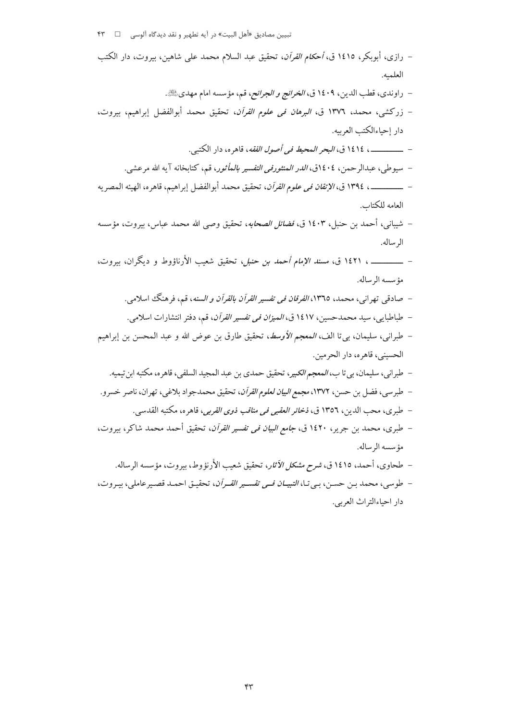| – رازی، أبوبکر، ۱٤۱٥ ق، <i>أحکام القرآن</i> ، تحقیق عبد السلام محمد علی شاهین، بیروت، دار الکتب                     |
|---------------------------------------------------------------------------------------------------------------------|
| العلميه.                                                                                                            |
| –  راوندي، قطب الدين، ١٤٠٩ ق، <i>الخرائج و الجرائح</i> ، قم، مؤسسه امام مهديﷺ.                                      |
| – زركشى، محمد، ١٣٧٦ ق، <i>البرهان فى علوم القرآن</i> ، تحقيق محمد أبوالفضل إبراهيم، بيروت،                          |
| دار إحياءالكتب العربيه.                                                                                             |
|                                                                                                                     |
| –  سيوطى، عبدالرحمن، ١٤٠٤ق، <i>الدر المنثورفى التفسير بالمأثور</i> ، قم، كتابخانه آيه الله مرعشى.                   |
| – ـــــــــــــــــــــ، ١٣٩٤ ق، <i>الإتقان في علوم القرآن</i> ، تحقيق محمد أبوالفضل إبراهيم، قاهره، الهيئه المصريه |
| العامه للكتاب.                                                                                                      |
| –  شيبانى، أحمد بن حنبل، ١٤٠٣ ق، <i>فضائل الصحابه</i> ، تحقيق وصى الله محمد عباس، بيروت، مؤسسه                      |
| الرساله.                                                                                                            |
| – ـــــــــــــــــــــ، ١٤٢١ ق، <i>مسند الإمام أحمد بن حنبل</i> ، تحقيق شعيب الأرناؤوط و ديگران، بيروت،            |
| مؤسسه الرساله.                                                                                                      |
| –  صادقی تهرانی، محمد، ١٣٦٥ <i>، الفرقان فی تفسیر القرآن بالقرآن و السنه</i> ، قم، فرهنگ اسلامی.                    |
| –  طباطبایی، سید محمدحسین، ۱۶۱۷ ق، <i>المیزان فی تفسیر القرآن</i> ، قم، دفتر انتشارات اسلامی.                       |
| – طبراني، سليمان، بي¤ا الف، <i>المعجم الأوسط</i> ، تحقيق طارق بن عوض الله و عبد المحسن بن إبراهيم                   |
| الحسيني، قاهره، دار الحرمين.                                                                                        |
| –  طبراني، سليمان، بي تا ب، <i>المعجم الكبير</i> ، تحقيق حمدي بن عبد المجيد السلفي، قاهره، مكتبه ابن تيميه.         |
| –  طبرسي، فضل بن حسن، ١٣٧٢، <i>مجمع البيان لعلوم القرآن</i> ، تحقيق محمدجواد بلاغي، تهران، ناصر خسرو.               |
| –  طبرى، محب الدين، ١٣٥٦ ق، <i>ذخائر العقبى في مناقب ذوى القربي</i> ، قاهره، مكتبه القدسى.                          |
| – طبرى، محمد بن جرير، ١٤٢٠ ق، <i>جامع البيان في تفسير القرآن</i> ، تحقيق أحمد محمد شاكر، بيروت،                     |
| مؤسسه الرساله.                                                                                                      |
| – طحاوى، أحمد، ١٤١٥ ق، <i>شرح مشكل الأثار</i> ، تحقيق شعيب الأرنؤوط، بيروت، مؤسسه الرساله.                          |
|                                                                                                                     |

- طوسى، محمد بن حسن، بي تـا، *التبيــان فــي تقســير القـرآن*، تحقيـق احمـد قصـيرعاملي، بيـروت، دار احياءالتراث العربي.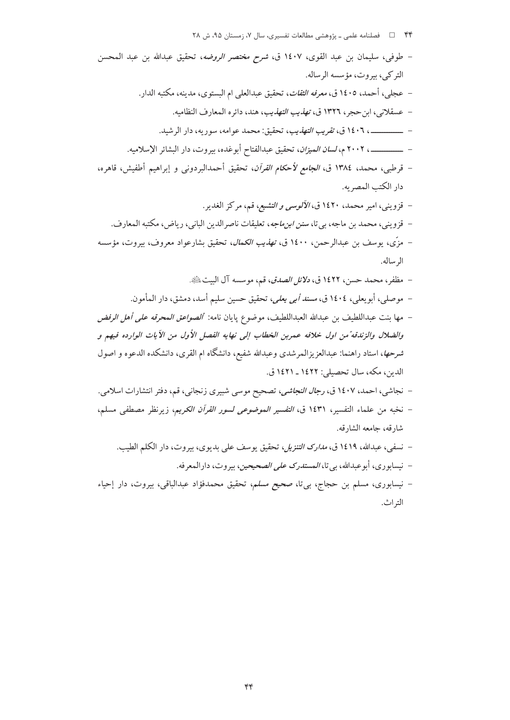| طوفي، سليمان بن عبد القوى، ١٤٠٧ ق، <i>شرح مختصر الروضه</i> ، تحقيق عبدالله بن عبد المحسن                                                                          |
|-------------------------------------------------------------------------------------------------------------------------------------------------------------------|
| التركي، بيروت، مؤسسه الرساله.                                                                                                                                     |
| عجلي، أحمد، ١٤٠٥ ق، <i>معرفه الثقات</i> ، تحقيق عبدالعل <sub>ى</sub> ام البستوى، مدينه، مكتبه الدار.                                                              |
| –  عسقلاني، ابن حجر، ١٣٢٦ ق، ت <i>هذيب التهذي</i> ب، هند، دائره المعارف النظاميه.                                                                                 |
| ــــــــــــــــــــــ ١٤٠٦ ق، <i>تقريب التهذيب</i> ، تحقيق: محمد عوامه، سوريه، دار الرشيد.                                                                       |
| –  ــــــــــــــــــــ، ٢٠٠٢ م، <i>لسان الميزان</i> ، تحقيق عبدالفتاح أبوغده، بيروت، دار البشائر الإسلاميه.                                                      |
| – قرطبی، محمد، ١٣٨٤ ق، <i>الجامع لأحكام القرآن</i> ، تحقيق أحمدالبردون <sub>ی</sub> و إبراهيم أطفيش، قاهره،                                                       |
| دار الكتب المصريه.                                                                                                                                                |
| –  قزوینی، امیر محمد، ۱٤۲۰ ق، <i>الآلوسی و التشیع</i> ، قم، مرکز الغدیر.                                                                                          |
| –  قزوینی، محمد بن ماجه، بیتا، <i>سنن ابن.اجه</i> ، تعلیقات ناصرالدین البانی، ریاض، مکتبه المعارف.                                                                |
| مزّی، یوسف بن عبدالرحمن، ۱٤۰۰ ق، <i>تھذیب الکمال</i> ، تحقیق بشارعواد معروف، بیروت، مؤسسه                                                                         |
| الرساله.                                                                                                                                                          |
|                                                                                                                                                                   |
|                                                                                                                                                                   |
| ·  مظفر، محمد حسن، ١٤٢٢ ق، <i>دلائل الصدق</i> ، قم، موسسه آل البيتﷺ.<br>–  موصلی، أبویعلی، ١٤٠٤ ق، <i>مسند أبی یعلی</i> ، تحقیق حسین سلیم أسد، دمشق، دار المأمون. |
| مها بنت عبداللطيف بن عبدالله العبداللطيف، موضوع پايان نامه: <i>"الصواعق المحرقه على أهل الرفض</i>                                                                 |
|                                                                                                                                                                   |
| والضلال والزندقة"من اول خلافه عمربن الخطاب إلى نهايه الفصل الأول من الآيات الوارده فيهم و                                                                         |
| <i>شرحها</i> ، استاد راهنما: عبدالعزیزالمرشدی وعبدالله شفیع، دانشگاه ام القری، دانشکده الدعوه و اصول<br>الدين، مكه، سال تحصيلي: ١٤٢٢ ـ ١٤٢١ ق.                    |
|                                                                                                                                                                   |
| نجاشی، احمد، ۱۶۰۷ ق، <i>رجال النجاشی</i> ، تصحیح موسی شبیری زنجانی، قم، دفتر انتشارات اسلامی.                                                                     |
| نخبه من علماء التفسير، ١٤٣١ ق، <i>التفسير الموضوعى لسور القرآن الكريم</i> ، زيرنظر مصطفى مسلم،<br>شارقه، جامعه الشارقه.                                           |
| نسفی، عبدالله، ۱۶۱۹ ق، <i>مدارک التنزیل</i> ، تحقیق یوسف علی بدیوی، بیروت، دار الکلم الطیب.                                                                       |

- نيسابوري، أبوعبدالله، بي تا، *المستدرك على الصحيحين*، بيروت، دارالمعرفه. – نیسابوری، مسلم بن حجاج، بیbتا، صحیح مس*لم،* تحقیق محمدفؤاد عبدالباقی، بیروت، دار إحیاء
	- التراث.